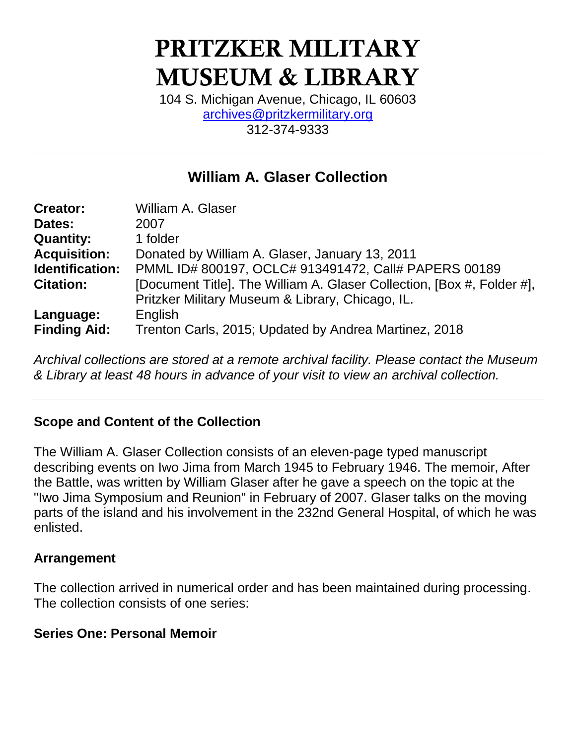# **PRITZKER MILITARY MUSEUM & LIBRARY**

104 S. Michigan Avenue, Chicago, IL 60603 [archives@pritzkermilitary.org](mailto:archives@pritzkermilitary.org) 312-374-9333

# **William A. Glaser Collection**

| <b>Creator:</b>        | William A. Glaser                                                      |
|------------------------|------------------------------------------------------------------------|
| Dates:                 | 2007                                                                   |
| <b>Quantity:</b>       | 1 folder                                                               |
| <b>Acquisition:</b>    | Donated by William A. Glaser, January 13, 2011                         |
| <b>Identification:</b> | PMML ID# 800197, OCLC# 913491472, Call# PAPERS 00189                   |
| <b>Citation:</b>       | [Document Title]. The William A. Glaser Collection, [Box #, Folder #], |
|                        | Pritzker Military Museum & Library, Chicago, IL.                       |
| Language:              | English                                                                |
| <b>Finding Aid:</b>    | Trenton Carls, 2015; Updated by Andrea Martinez, 2018                  |

*Archival collections are stored at a remote archival facility. Please contact the Museum & Library at least 48 hours in advance of your visit to view an archival collection.*

#### **Scope and Content of the Collection**

The William A. Glaser Collection consists of an eleven-page typed manuscript describing events on Iwo Jima from March 1945 to February 1946. The memoir, After the Battle, was written by William Glaser after he gave a speech on the topic at the "Iwo Jima Symposium and Reunion" in February of 2007. Glaser talks on the moving parts of the island and his involvement in the 232nd General Hospital, of which he was enlisted.

#### **Arrangement**

The collection arrived in numerical order and has been maintained during processing. The collection consists of one series:

#### **Series One: Personal Memoir**